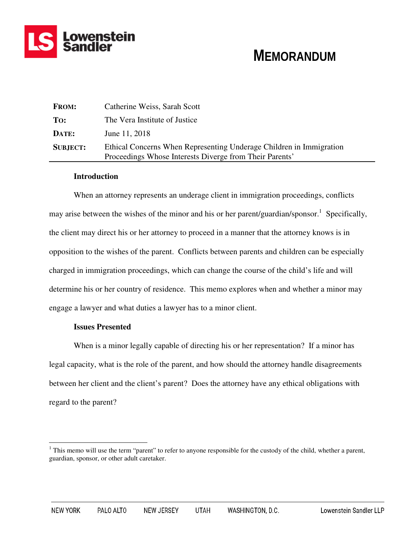

# **MEMORANDUM**

| <b>FROM:</b>    | Catherine Weiss, Sarah Scott                                                                                                   |
|-----------------|--------------------------------------------------------------------------------------------------------------------------------|
| To:             | The Vera Institute of Justice                                                                                                  |
| DATE:           | June 11, 2018                                                                                                                  |
| <b>SUBJECT:</b> | Ethical Concerns When Representing Underage Children in Immigration<br>Proceedings Whose Interests Diverge from Their Parents' |

# **Introduction**

When an attorney represents an underage client in immigration proceedings, conflicts may arise between the wishes of the minor and his or her parent/guardian/sponsor.<sup>1</sup> Specifically, the client may direct his or her attorney to proceed in a manner that the attorney knows is in opposition to the wishes of the parent. Conflicts between parents and children can be especially charged in immigration proceedings, which can change the course of the child's life and will determine his or her country of residence. This memo explores when and whether a minor may engage a lawyer and what duties a lawyer has to a minor client.

# **Issues Presented**

When is a minor legally capable of directing his or her representation? If a minor has legal capacity, what is the role of the parent, and how should the attorney handle disagreements between her client and the client's parent? Does the attorney have any ethical obligations with regard to the parent?

<sup>&</sup>lt;sup>1</sup>This memo will use the term "parent" to refer to anyone responsible for the custody of the child, whether a parent, guardian, sponsor, or other adult caretaker.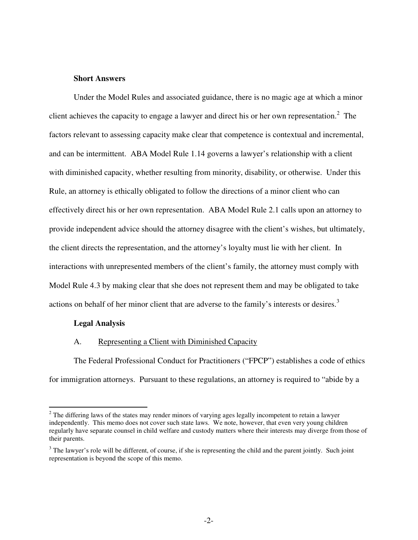# **Short Answers**

Under the Model Rules and associated guidance, there is no magic age at which a minor client achieves the capacity to engage a lawyer and direct his or her own representation.<sup>2</sup> The factors relevant to assessing capacity make clear that competence is contextual and incremental, and can be intermittent. ABA Model Rule 1.14 governs a lawyer's relationship with a client with diminished capacity, whether resulting from minority, disability, or otherwise. Under this Rule, an attorney is ethically obligated to follow the directions of a minor client who can effectively direct his or her own representation. ABA Model Rule 2.1 calls upon an attorney to provide independent advice should the attorney disagree with the client's wishes, but ultimately, the client directs the representation, and the attorney's loyalty must lie with her client. In interactions with unrepresented members of the client's family, the attorney must comply with Model Rule 4.3 by making clear that she does not represent them and may be obligated to take actions on behalf of her minor client that are adverse to the family's interests or desires.<sup>3</sup>

#### **Legal Analysis**

## A. Representing a Client with Diminished Capacity

The Federal Professional Conduct for Practitioners ("FPCP") establishes a code of ethics for immigration attorneys. Pursuant to these regulations, an attorney is required to "abide by a

<sup>&</sup>lt;sup>2</sup> The differing laws of the states may render minors of varying ages legally incompetent to retain a lawyer independently. This memo does not cover such state laws. We note, however, that even very young children regularly have separate counsel in child welfare and custody matters where their interests may diverge from those of their parents.

 $3$  The lawyer's role will be different, of course, if she is representing the child and the parent jointly. Such joint representation is beyond the scope of this memo.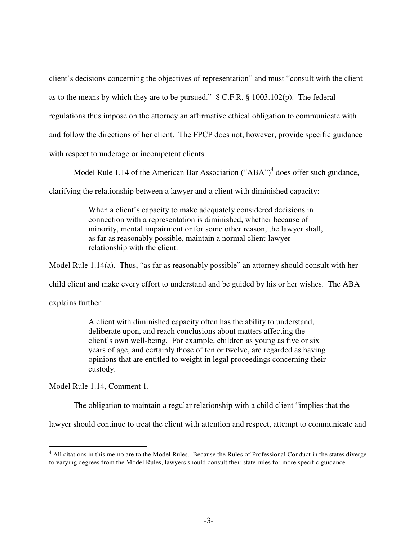client's decisions concerning the objectives of representation" and must "consult with the client as to the means by which they are to be pursued." 8 C.F.R. § 1003.102(p). The federal regulations thus impose on the attorney an affirmative ethical obligation to communicate with and follow the directions of her client. The FPCP does not, however, provide specific guidance with respect to underage or incompetent clients.

Model Rule 1.14 of the American Bar Association  $("ABA")^4$  does offer such guidance,

clarifying the relationship between a lawyer and a client with diminished capacity:

When a client's capacity to make adequately considered decisions in connection with a representation is diminished, whether because of minority, mental impairment or for some other reason, the lawyer shall, as far as reasonably possible, maintain a normal client-lawyer relationship with the client.

Model Rule 1.14(a). Thus, "as far as reasonably possible" an attorney should consult with her

child client and make every effort to understand and be guided by his or her wishes. The ABA

explains further:

A client with diminished capacity often has the ability to understand, deliberate upon, and reach conclusions about matters affecting the client's own well-being. For example, children as young as five or six years of age, and certainly those of ten or twelve, are regarded as having opinions that are entitled to weight in legal proceedings concerning their custody.

Model Rule 1.14, Comment 1.

The obligation to maintain a regular relationship with a child client "implies that the

lawyer should continue to treat the client with attention and respect, attempt to communicate and

<sup>&</sup>lt;sup>4</sup> All citations in this memo are to the Model Rules. Because the Rules of Professional Conduct in the states diverge to varying degrees from the Model Rules, lawyers should consult their state rules for more specific guidance.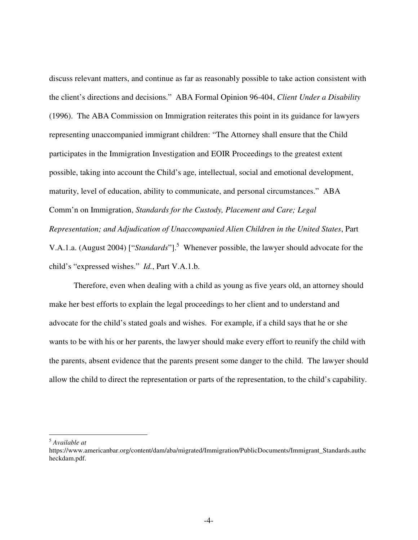discuss relevant matters, and continue as far as reasonably possible to take action consistent with the client's directions and decisions." ABA Formal Opinion 96-404, *Client Under a Disability* (1996). The ABA Commission on Immigration reiterates this point in its guidance for lawyers representing unaccompanied immigrant children: "The Attorney shall ensure that the Child participates in the Immigration Investigation and EOIR Proceedings to the greatest extent possible, taking into account the Child's age, intellectual, social and emotional development, maturity, level of education, ability to communicate, and personal circumstances." ABA Comm'n on Immigration, *Standards for the Custody, Placement and Care; Legal Representation; and Adjudication of Unaccompanied Alien Children in the United States*, Part

V.A.1.a. (August 2004) ["*Standards*"].<sup>5</sup> Whenever possible, the lawyer should advocate for the child's "expressed wishes." *Id.*, Part V.A.1.b.

 Therefore, even when dealing with a child as young as five years old, an attorney should make her best efforts to explain the legal proceedings to her client and to understand and advocate for the child's stated goals and wishes. For example, if a child says that he or she wants to be with his or her parents, the lawyer should make every effort to reunify the child with the parents, absent evidence that the parents present some danger to the child. The lawyer should allow the child to direct the representation or parts of the representation, to the child's capability.

<sup>5</sup> *Available at*

 $\overline{a}$ 

https://www.americanbar.org/content/dam/aba/migrated/Immigration/PublicDocuments/Immigrant\_Standards.authc heckdam.pdf.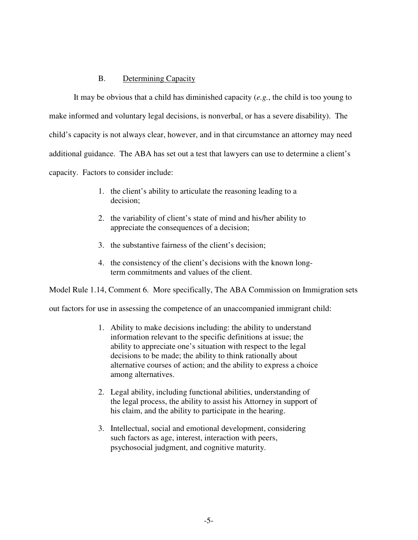# B. Determining Capacity

It may be obvious that a child has diminished capacity (*e.g.*, the child is too young to make informed and voluntary legal decisions, is nonverbal, or has a severe disability). The child's capacity is not always clear, however, and in that circumstance an attorney may need additional guidance. The ABA has set out a test that lawyers can use to determine a client's capacity. Factors to consider include:

- 1. the client's ability to articulate the reasoning leading to a decision;
- 2. the variability of client's state of mind and his/her ability to appreciate the consequences of a decision;
- 3. the substantive fairness of the client's decision;
- 4. the consistency of the client's decisions with the known longterm commitments and values of the client.

Model Rule 1.14, Comment 6. More specifically, The ABA Commission on Immigration sets

out factors for use in assessing the competence of an unaccompanied immigrant child:

- 1. Ability to make decisions including: the ability to understand information relevant to the specific definitions at issue; the ability to appreciate one's situation with respect to the legal decisions to be made; the ability to think rationally about alternative courses of action; and the ability to express a choice among alternatives.
- 2. Legal ability, including functional abilities, understanding of the legal process, the ability to assist his Attorney in support of his claim, and the ability to participate in the hearing.
- 3. Intellectual, social and emotional development, considering such factors as age, interest, interaction with peers, psychosocial judgment, and cognitive maturity.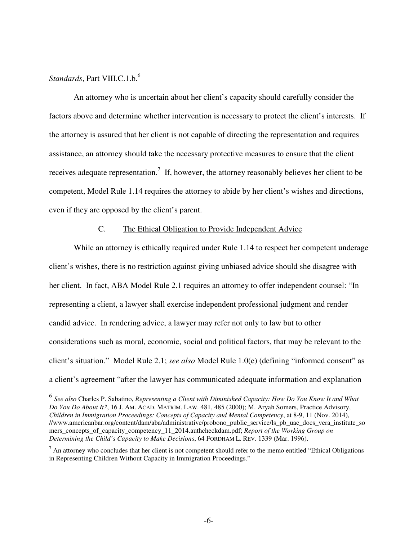# *Standards*, Part VIII.C.1.b.<sup>6</sup>

An attorney who is uncertain about her client's capacity should carefully consider the factors above and determine whether intervention is necessary to protect the client's interests. If the attorney is assured that her client is not capable of directing the representation and requires assistance, an attorney should take the necessary protective measures to ensure that the client receives adequate representation.<sup>7</sup> If, however, the attorney reasonably believes her client to be competent, Model Rule 1.14 requires the attorney to abide by her client's wishes and directions, even if they are opposed by the client's parent.

# C. The Ethical Obligation to Provide Independent Advice

While an attorney is ethically required under Rule 1.14 to respect her competent underage client's wishes, there is no restriction against giving unbiased advice should she disagree with her client. In fact, ABA Model Rule 2.1 requires an attorney to offer independent counsel: "In representing a client, a lawyer shall exercise independent professional judgment and render candid advice. In rendering advice, a lawyer may refer not only to law but to other considerations such as moral, economic, social and political factors, that may be relevant to the client's situation." Model Rule 2.1; *see also* Model Rule 1.0(e) (defining "informed consent" as a client's agreement "after the lawyer has communicated adequate information and explanation

 6 *See also* Charles P. Sabatino, *Representing a Client with Diminished Capacity: How Do You Know It and What Do You Do About It?*, 16 J. AM. ACAD. MATRIM. LAW. 481, 485 (2000); M. Aryah Somers, Practice Advisory, *Children in Immigration Proceedings: Concepts of Capacity and Mental Competency*, at 8-9, 11 (Nov. 2014), //www.americanbar.org/content/dam/aba/administrative/probono\_public\_service/ls\_pb\_uac\_docs\_vera\_institute\_so mers\_concepts\_of\_capacity\_competency\_11\_2014.authcheckdam.pdf; *Report of the Working Group on Determining the Child's Capacity to Make Decisions*, 64 FORDHAM L. REV. 1339 (Mar. 1996).

 $<sup>7</sup>$  An attorney who concludes that her client is not competent should refer to the memo entitled "Ethical Obligations"</sup> in Representing Children Without Capacity in Immigration Proceedings."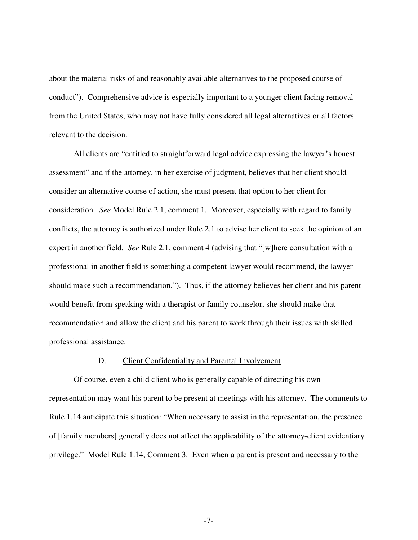about the material risks of and reasonably available alternatives to the proposed course of conduct"). Comprehensive advice is especially important to a younger client facing removal from the United States, who may not have fully considered all legal alternatives or all factors relevant to the decision.

All clients are "entitled to straightforward legal advice expressing the lawyer's honest assessment" and if the attorney, in her exercise of judgment, believes that her client should consider an alternative course of action, she must present that option to her client for consideration. *See* Model Rule 2.1, comment 1. Moreover, especially with regard to family conflicts, the attorney is authorized under Rule 2.1 to advise her client to seek the opinion of an expert in another field. *See* Rule 2.1, comment 4 (advising that "[w]here consultation with a professional in another field is something a competent lawyer would recommend, the lawyer should make such a recommendation."). Thus, if the attorney believes her client and his parent would benefit from speaking with a therapist or family counselor, she should make that recommendation and allow the client and his parent to work through their issues with skilled professional assistance.

## D. Client Confidentiality and Parental Involvement

Of course, even a child client who is generally capable of directing his own representation may want his parent to be present at meetings with his attorney. The comments to Rule 1.14 anticipate this situation: "When necessary to assist in the representation, the presence of [family members] generally does not affect the applicability of the attorney-client evidentiary privilege." Model Rule 1.14, Comment 3. Even when a parent is present and necessary to the

-7-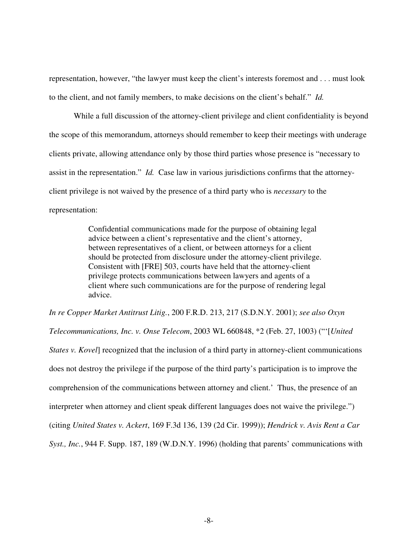representation, however, "the lawyer must keep the client's interests foremost and . . . must look to the client, and not family members, to make decisions on the client's behalf." *Id.*

While a full discussion of the attorney-client privilege and client confidentiality is beyond the scope of this memorandum, attorneys should remember to keep their meetings with underage clients private, allowing attendance only by those third parties whose presence is "necessary to assist in the representation." *Id.* Case law in various jurisdictions confirms that the attorneyclient privilege is not waived by the presence of a third party who is *necessary* to the representation:

> Confidential communications made for the purpose of obtaining legal advice between a client's representative and the client's attorney, between representatives of a client, or between attorneys for a client should be protected from disclosure under the attorney-client privilege. Consistent with [FRE] 503, courts have held that the attorney-client privilege protects communications between lawyers and agents of a client where such communications are for the purpose of rendering legal advice.

*In re Copper Market Antitrust Litig.*, 200 F.R.D. 213, 217 (S.D.N.Y. 2001); *see also Oxyn Telecommunications, Inc. v. Onse Telecom*, 2003 WL 660848, \*2 (Feb. 27, 1003) ("'[*United States v. Kovel*] recognized that the inclusion of a third party in attorney-client communications does not destroy the privilege if the purpose of the third party's participation is to improve the comprehension of the communications between attorney and client.' Thus, the presence of an interpreter when attorney and client speak different languages does not waive the privilege.") (citing *United States v. Ackert*, 169 F.3d 136, 139 (2d Cir. 1999)); *Hendrick v. Avis Rent a Car Syst., Inc.*, 944 F. Supp. 187, 189 (W.D.N.Y. 1996) (holding that parents' communications with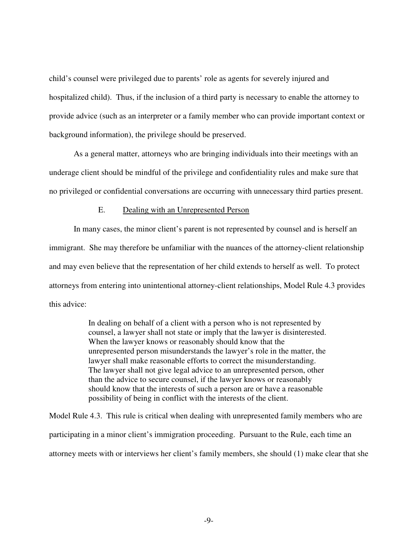child's counsel were privileged due to parents' role as agents for severely injured and hospitalized child). Thus, if the inclusion of a third party is necessary to enable the attorney to provide advice (such as an interpreter or a family member who can provide important context or background information), the privilege should be preserved.

As a general matter, attorneys who are bringing individuals into their meetings with an underage client should be mindful of the privilege and confidentiality rules and make sure that no privileged or confidential conversations are occurring with unnecessary third parties present.

# E. Dealing with an Unrepresented Person

In many cases, the minor client's parent is not represented by counsel and is herself an immigrant. She may therefore be unfamiliar with the nuances of the attorney-client relationship and may even believe that the representation of her child extends to herself as well. To protect attorneys from entering into unintentional attorney-client relationships, Model Rule 4.3 provides this advice:

> In dealing on behalf of a client with a person who is not represented by counsel, a lawyer shall not state or imply that the lawyer is disinterested. When the lawyer knows or reasonably should know that the unrepresented person misunderstands the lawyer's role in the matter, the lawyer shall make reasonable efforts to correct the misunderstanding. The lawyer shall not give legal advice to an unrepresented person, other than the advice to secure counsel, if the lawyer knows or reasonably should know that the interests of such a person are or have a reasonable possibility of being in conflict with the interests of the client.

Model Rule 4.3. This rule is critical when dealing with unrepresented family members who are participating in a minor client's immigration proceeding. Pursuant to the Rule, each time an attorney meets with or interviews her client's family members, she should (1) make clear that she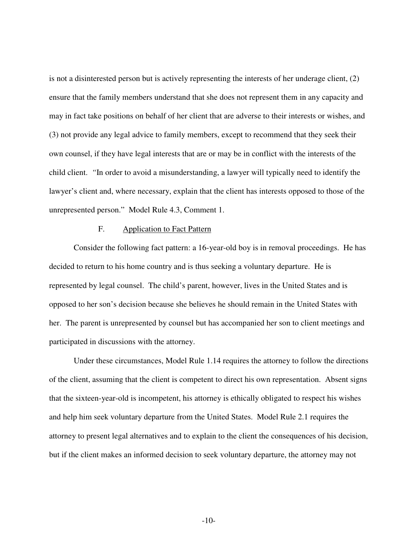is not a disinterested person but is actively representing the interests of her underage client, (2) ensure that the family members understand that she does not represent them in any capacity and may in fact take positions on behalf of her client that are adverse to their interests or wishes, and (3) not provide any legal advice to family members, except to recommend that they seek their own counsel, if they have legal interests that are or may be in conflict with the interests of the child client. *"*In order to avoid a misunderstanding, a lawyer will typically need to identify the lawyer's client and, where necessary, explain that the client has interests opposed to those of the unrepresented person." Model Rule 4.3, Comment 1.

## F. Application to Fact Pattern

Consider the following fact pattern: a 16-year-old boy is in removal proceedings. He has decided to return to his home country and is thus seeking a voluntary departure. He is represented by legal counsel. The child's parent, however, lives in the United States and is opposed to her son's decision because she believes he should remain in the United States with her. The parent is unrepresented by counsel but has accompanied her son to client meetings and participated in discussions with the attorney.

Under these circumstances, Model Rule 1.14 requires the attorney to follow the directions of the client, assuming that the client is competent to direct his own representation. Absent signs that the sixteen-year-old is incompetent, his attorney is ethically obligated to respect his wishes and help him seek voluntary departure from the United States. Model Rule 2.1 requires the attorney to present legal alternatives and to explain to the client the consequences of his decision, but if the client makes an informed decision to seek voluntary departure, the attorney may not

-10-